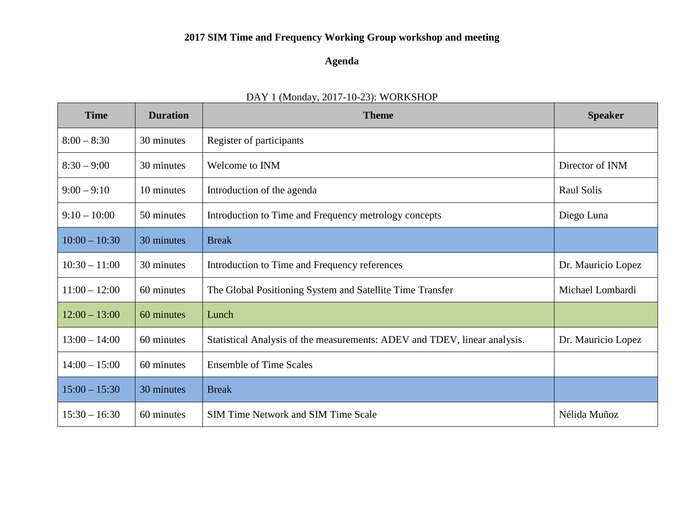# **2017 SIM Time and Frequency Working Group workshop and meeting**

## **Agenda**

| <b>Time</b>     | <b>Duration</b> | <b>Theme</b>                                                              | <b>Speaker</b>     |
|-----------------|-----------------|---------------------------------------------------------------------------|--------------------|
| $8:00 - 8:30$   | 30 minutes      | Register of participants                                                  |                    |
| $8:30 - 9:00$   | 30 minutes      | Welcome to INM                                                            | Director of INM    |
| $9:00 - 9:10$   | 10 minutes      | Introduction of the agenda                                                | Raul Solis         |
| $9:10 - 10:00$  | 50 minutes      | Introduction to Time and Frequency metrology concepts                     | Diego Luna         |
| $10:00 - 10:30$ | 30 minutes      | <b>Break</b>                                                              |                    |
| $10:30 - 11:00$ | 30 minutes      | Introduction to Time and Frequency references                             | Dr. Mauricio Lopez |
| $11:00 - 12:00$ | 60 minutes      | The Global Positioning System and Satellite Time Transfer                 | Michael Lombardi   |
| $12:00 - 13:00$ | 60 minutes      | Lunch                                                                     |                    |
| $13:00 - 14:00$ | 60 minutes      | Statistical Analysis of the measurements: ADEV and TDEV, linear analysis. | Dr. Mauricio Lopez |
| $14:00 - 15:00$ | 60 minutes      | <b>Ensemble of Time Scales</b>                                            |                    |
| $15:00 - 15:30$ | 30 minutes      | <b>Break</b>                                                              |                    |
| $15:30 - 16:30$ | 60 minutes      | <b>SIM Time Network and SIM Time Scale</b>                                | Nélida Muñoz       |

## DAY 1 (Monday, 2017-10-23): WORKSHOP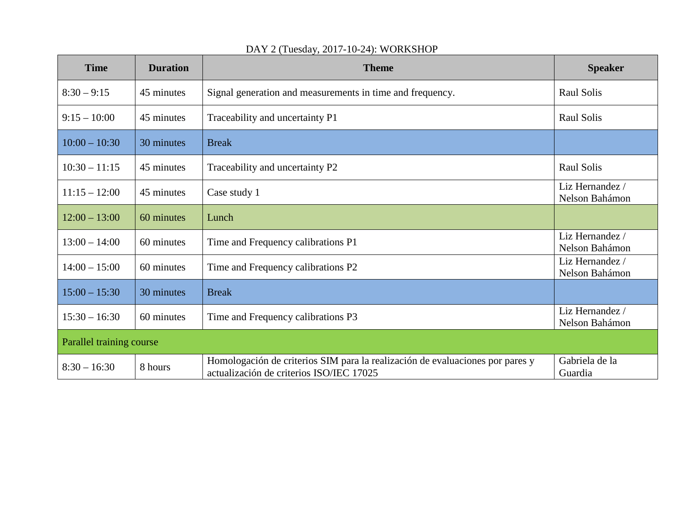| <b>Time</b>              | <b>Duration</b> | <b>Theme</b>                                                                                                              | <b>Speaker</b>                    |  |  |
|--------------------------|-----------------|---------------------------------------------------------------------------------------------------------------------------|-----------------------------------|--|--|
| $8:30 - 9:15$            | 45 minutes      | Signal generation and measurements in time and frequency.                                                                 | <b>Raul Solis</b>                 |  |  |
| $9:15 - 10:00$           | 45 minutes      | Traceability and uncertainty P1                                                                                           | Raul Solis                        |  |  |
| $10:00 - 10:30$          | 30 minutes      | <b>Break</b>                                                                                                              |                                   |  |  |
| $10:30 - 11:15$          | 45 minutes      | Traceability and uncertainty P2                                                                                           | Raul Solis                        |  |  |
| $11:15 - 12:00$          | 45 minutes      | Case study 1                                                                                                              | Liz Hernandez /<br>Nelson Bahámon |  |  |
| $12:00 - 13:00$          | 60 minutes      | Lunch                                                                                                                     |                                   |  |  |
| $13:00 - 14:00$          | 60 minutes      | Time and Frequency calibrations P1                                                                                        | Liz Hernandez /<br>Nelson Bahámon |  |  |
| $14:00 - 15:00$          | 60 minutes      | Time and Frequency calibrations P2                                                                                        | Liz Hernandez /<br>Nelson Bahámon |  |  |
| $15:00 - 15:30$          | 30 minutes      | <b>Break</b>                                                                                                              |                                   |  |  |
| $15:30 - 16:30$          | 60 minutes      | Time and Frequency calibrations P3                                                                                        | Liz Hernandez /<br>Nelson Bahámon |  |  |
| Parallel training course |                 |                                                                                                                           |                                   |  |  |
| $8:30 - 16:30$           | 8 hours         | Homologación de criterios SIM para la realización de evaluaciones por pares y<br>actualización de criterios ISO/IEC 17025 | Gabriela de la<br>Guardia         |  |  |

## DAY 2 (Tuesday, 2017-10-24): WORKSHOP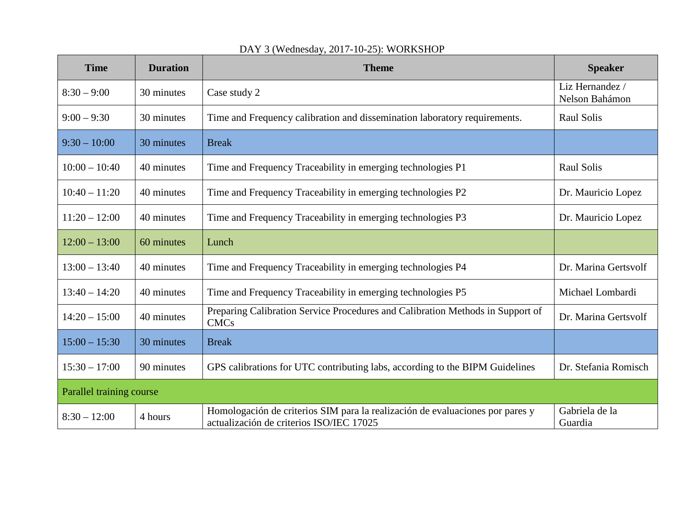| <b>Time</b>              | <b>Duration</b> | <b>Theme</b>                                                                                                              | <b>Speaker</b>                    |  |
|--------------------------|-----------------|---------------------------------------------------------------------------------------------------------------------------|-----------------------------------|--|
| $8:30 - 9:00$            | 30 minutes      | Case study 2                                                                                                              | Liz Hernandez /<br>Nelson Bahámon |  |
| $9:00 - 9:30$            | 30 minutes      | Time and Frequency calibration and dissemination laboratory requirements.                                                 | Raul Solis                        |  |
| $9:30 - 10:00$           | 30 minutes      | <b>Break</b>                                                                                                              |                                   |  |
| $10:00 - 10:40$          | 40 minutes      | Time and Frequency Traceability in emerging technologies P1                                                               | Raul Solis                        |  |
| $10:40 - 11:20$          | 40 minutes      | Time and Frequency Traceability in emerging technologies P2                                                               | Dr. Mauricio Lopez                |  |
| $11:20 - 12:00$          | 40 minutes      | Time and Frequency Traceability in emerging technologies P3                                                               | Dr. Mauricio Lopez                |  |
| $12:00 - 13:00$          | 60 minutes      | Lunch                                                                                                                     |                                   |  |
| $13:00 - 13:40$          | 40 minutes      | Time and Frequency Traceability in emerging technologies P4                                                               | Dr. Marina Gertsvolf              |  |
| $13:40 - 14:20$          | 40 minutes      | Time and Frequency Traceability in emerging technologies P5                                                               | Michael Lombardi                  |  |
| $14:20 - 15:00$          | 40 minutes      | Preparing Calibration Service Procedures and Calibration Methods in Support of<br><b>CMCs</b>                             | Dr. Marina Gertsvolf              |  |
| $15:00 - 15:30$          | 30 minutes      | <b>Break</b>                                                                                                              |                                   |  |
| $15:30 - 17:00$          | 90 minutes      | GPS calibrations for UTC contributing labs, according to the BIPM Guidelines                                              | Dr. Stefania Romisch              |  |
| Parallel training course |                 |                                                                                                                           |                                   |  |
| $8:30 - 12:00$           | 4 hours         | Homologación de criterios SIM para la realización de evaluaciones por pares y<br>actualización de criterios ISO/IEC 17025 | Gabriela de la<br>Guardia         |  |

# DAY 3 (Wednesday, 2017-10-25): WORKSHOP